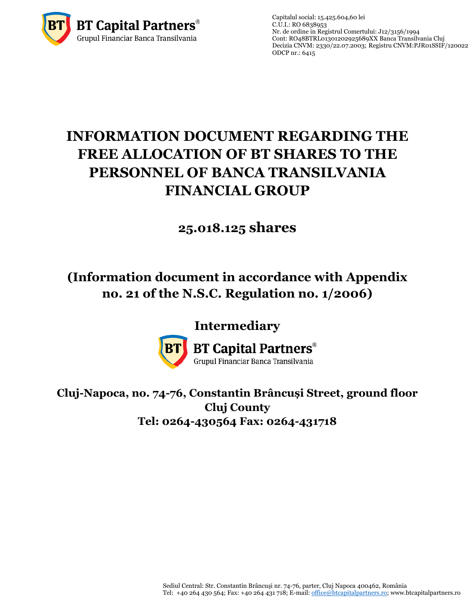

Capitalul social: 15.425.604,60 lei  $C.U.I.: RO 6838953$ Nr. de ordine in Registrul Comertului: J12/3156/1994 Cont: RO48BTRL01301202925689XX Banca Transilvania Cluj Decizia CNVM: 2330/22.07.2003; Registru CNV[M:PJR01SSIF/120022](http://asfromania.ro/registru/detalii.php?id=11&nrcnvm=PJR01SSIF/120022&lng=1) ODCP nr.: 6415

# **INFORMATION DOCUMENT REGARDING THE FREE ALLOCATION OF BT SHARES TO THE PERSONNEL OF BANCA TRANSILVANIA FINANCIAL GROUP**

## **25.018.125 shares**

### **(Information document in accordance with Appendix no. 21 of the N.S.C. Regulation no. 1/2006)**

### **Intermediary**



**BT Capital Partners**® Grupul Financiar Banca Transilvania

**Cluj-Napoca, no. 74-76, Constantin Brâncuși Street, ground floor Cluj County**

**Tel: 0264-430564 Fax: 0264-431718**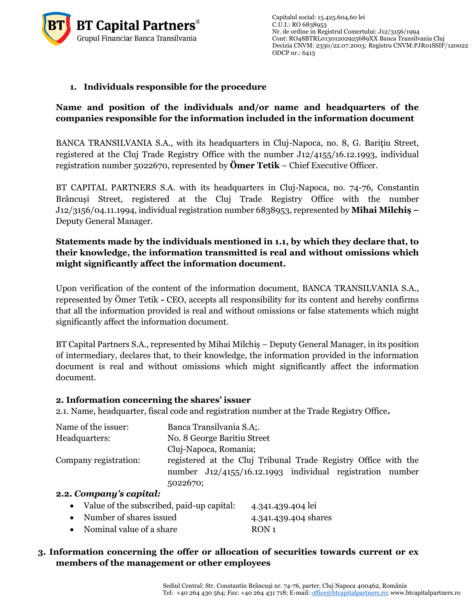

#### **1. Individuals responsible for the procedure**

#### **Name and position of the individuals and/or name and headquarters of the companies responsible for the information included in the information document**

BANCA TRANSILVANIA S.A., with its headquarters in Cluj-Napoca, no. 8, G. Baritiu Street, registered at the Cluj Trade Registry Office with the number J12/4155/16.12.1993, individual registration number 5022670, represented by **Ömer Tetik** – Chief Executive Officer.

BT CAPITAL PARTNERS S.A. with its headquarters in Cluj-Napoca, no. 74-76, Constantin Brâncuși Street, registered at the Cluj Trade Registry Office with the number J12/3156/04.11.1994, individual registration number 6838953, represented by **Mihai Milchiș –** Deputy General Manager.

#### **Statements made by the individuals mentioned in 1.1, by which they declare that, to their knowledge, the information transmitted is real and without omissions which might significantly affect the information document.**

Upon verification of the content of the information document, BANCA TRANSILVANIA S.A., represented by Ömer Tetik **-** CEO, accepts all responsibility for its content and hereby confirms that all the information provided is real and without omissions or false statements which might significantly affect the information document.

BT Capital Partners S.A., represented by Mihai Milchiș – Deputy General Manager, in its position of intermediary, declares that, to their knowledge, the information provided in the information document is real and without omissions which might significantly affect the information document.

#### **2. Information concerning the shares' issuer**

2.1. Name, headquarter, fiscal code and registration number at the Trade Registry Office**.**

| Name of the issuer:   | Banca Transilvania S.A;                                        |  |  |  |  |  |
|-----------------------|----------------------------------------------------------------|--|--|--|--|--|
| Headquarters:         | No. 8 George Baritiu Street                                    |  |  |  |  |  |
|                       | Cluj-Napoca, Romania;                                          |  |  |  |  |  |
| Company registration: | registered at the Cluj Tribunal Trade Registry Office with the |  |  |  |  |  |
|                       | number J12/4155/16.12.1993 individual registration number      |  |  |  |  |  |
|                       | 5022670;                                                       |  |  |  |  |  |
| a a Companis conital. |                                                                |  |  |  |  |  |

#### **2.2.** *Company's capital:*

|  |  |  | Value of the subscribed, paid-up capital: | 4.341.439.404 lei |  |
|--|--|--|-------------------------------------------|-------------------|--|
|  |  |  |                                           |                   |  |

- Number of shares issued 4.341.439.404 shares
- Nominal value of a share RON 1

#### **3. Information concerning the offer or allocation of securities towards current or ex members of the management or other employees**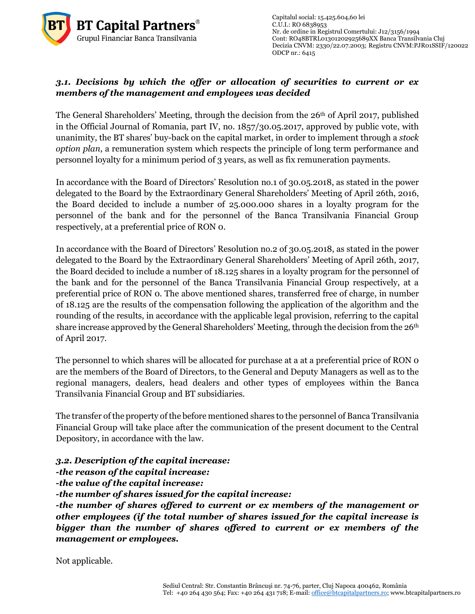

Capitalul social: 15.425.604,60 lei  $C.\overline{U}$ .I.: RO 6838953 Nr. de ordine in Registrul Comertului: J12/3156/1994 Cont: RO48BTRL01301202925689XX Banca Transilvania Cluj Decizia CNVM: 2330/22.07.2003; Registru CNV[M:PJR01SSIF/120022](http://asfromania.ro/registru/detalii.php?id=11&nrcnvm=PJR01SSIF/120022&lng=1) ODCP nr.: 6415

#### *3.1. Decisions by which the offer or allocation of securities to current or ex members of the management and employees was decided*

The General Shareholders' Meeting, through the decision from the 26<sup>th</sup> of April 2017, published in the Official Journal of Romania, part IV, no. 1857/30.05.2017, approved by public vote, with unanimity, the BT shares' buy-back on the capital market, in order to implement through a *stock option plan*, a remuneration system which respects the principle of long term performance and personnel loyalty for a minimum period of 3 years, as well as fix remuneration payments.

In accordance with the Board of Directors' Resolution no.1 of 30.05.2018, as stated in the power delegated to the Board by the Extraordinary General Shareholders' Meeting of April 26th, 2016, the Board decided to include a number of 25.000.000 shares in a loyalty program for the personnel of the bank and for the personnel of the Banca Transilvania Financial Group respectively, at a preferential price of RON 0.

In accordance with the Board of Directors' Resolution no.2 of 30.05.2018, as stated in the power delegated to the Board by the Extraordinary General Shareholders' Meeting of April 26th, 2017, the Board decided to include a number of 18.125 shares in a loyalty program for the personnel of the bank and for the personnel of the Banca Transilvania Financial Group respectively, at a preferential price of RON 0. The above mentioned shares, transferred free of charge, in number of 18.125 are the results of the compensation following the application of the algorithm and the rounding of the results, in accordance with the applicable legal provision, referring to the capital share increase approved by the General Shareholders' Meeting, through the decision from the 26th of April 2017.

The personnel to which shares will be allocated for purchase at a at a preferential price of RON o are the members of the Board of Directors, to the General and Deputy Managers as well as to the regional managers, dealers, head dealers and other types of employees within the Banca Transilvania Financial Group and BT subsidiaries.

The transfer of the property of the before mentioned shares to the personnel of Banca Transilvania Financial Group will take place after the communication of the present document to the Central Depository, in accordance with the law.

*3.2. Description of the capital increase:*

*-the reason of the capital increase:*

*-the value of the capital increase:* 

*-the number of shares issued for the capital increase:*

*-the number of shares offered to current or ex members of the management or other employees (if the total number of shares issued for the capital increase is bigger than the number of shares offered to current or ex members of the management or employees.* 

Not applicable.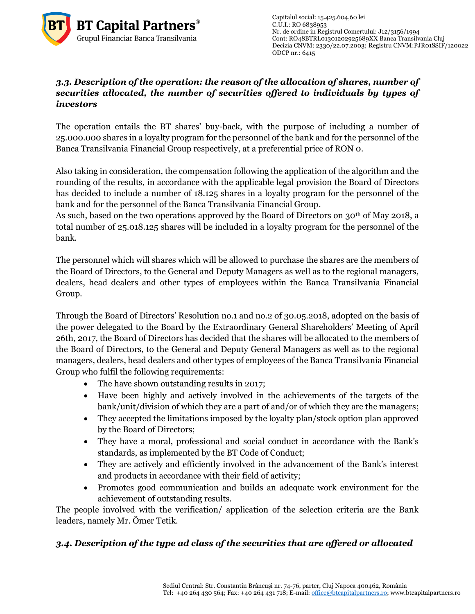

Capitalul social: 15.425.604,60 lei  $C.\overline{U}$ .I.: RO 6838953 Nr. de ordine in Registrul Comertului: J12/3156/1994 Cont: RO48BTRL01301202925689XX Banca Transilvania Cluj Decizia CNVM: 2330/22.07.2003; Registru CNV[M:PJR01SSIF/120022](http://asfromania.ro/registru/detalii.php?id=11&nrcnvm=PJR01SSIF/120022&lng=1) ODCP nr.: 6415

#### *3.3. Description of the operation: the reason of the allocation of shares, number of securities allocated, the number of securities offered to individuals by types of investors*

The operation entails the BT shares' buy-back, with the purpose of including a number of 25.000.000 shares in a loyalty program for the personnel of the bank and for the personnel of the Banca Transilvania Financial Group respectively, at a preferential price of RON 0.

Also taking in consideration, the compensation following the application of the algorithm and the rounding of the results, in accordance with the applicable legal provision the Board of Directors has decided to include a number of 18.125 shares in a loyalty program for the personnel of the bank and for the personnel of the Banca Transilvania Financial Group.

As such, based on the two operations approved by the Board of Directors on  $30<sup>th</sup>$  of May 2018, a total number of 25.018.125 shares will be included in a loyalty program for the personnel of the bank.

The personnel which will shares which will be allowed to purchase the shares are the members of the Board of Directors, to the General and Deputy Managers as well as to the regional managers, dealers, head dealers and other types of employees within the Banca Transilvania Financial Group.

Through the Board of Directors' Resolution no.1 and no.2 of 30.05.2018, adopted on the basis of the power delegated to the Board by the Extraordinary General Shareholders' Meeting of April 26th, 2017, the Board of Directors has decided that the shares will be allocated to the members of the Board of Directors, to the General and Deputy General Managers as well as to the regional managers, dealers, head dealers and other types of employees of the Banca Transilvania Financial Group who fulfil the following requirements:

- The have shown outstanding results in 2017;
- Have been highly and actively involved in the achievements of the targets of the bank/unit/division of which they are a part of and/or of which they are the managers;
- They accepted the limitations imposed by the loyalty plan/stock option plan approved by the Board of Directors;
- They have a moral, professional and social conduct in accordance with the Bank's standards, as implemented by the BT Code of Conduct;
- They are actively and efficiently involved in the advancement of the Bank's interest and products in accordance with their field of activity;
- Promotes good communication and builds an adequate work environment for the achievement of outstanding results.

The people involved with the verification/ application of the selection criteria are the Bank leaders, namely Mr. Ömer Tetik.

#### *3.4. Description of the type ad class of the securities that are offered or allocated*